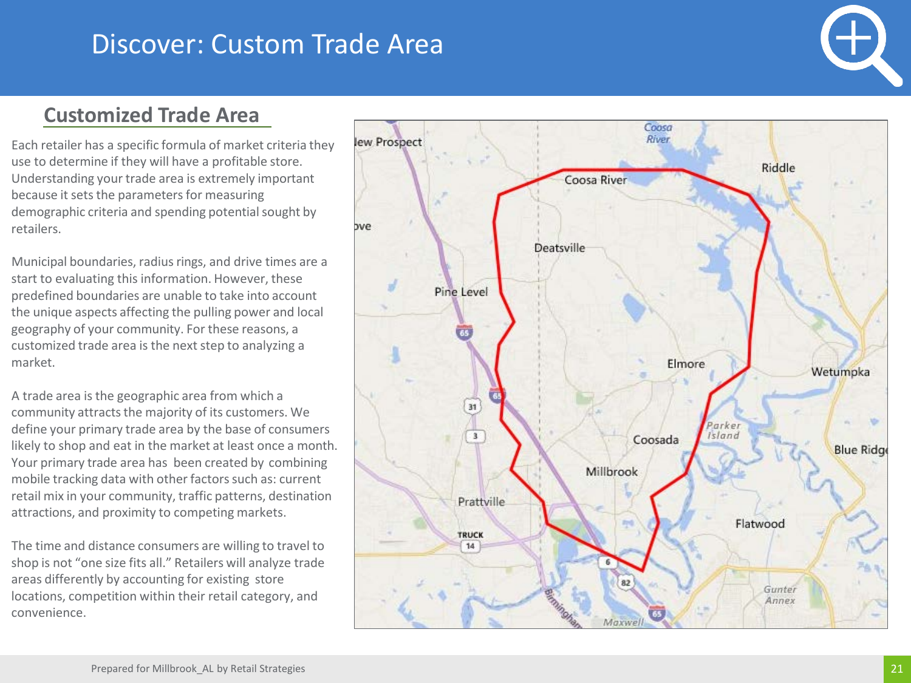#### **Customized Trade Area**

Each retailer has a specific formula of market criteria they use to determine if they will have a profitable store. Understanding your trade area is extremely important because it sets the parameters for measuring demographic criteria and spending potential sought by retailers.

Municipal boundaries, radius rings, and drive times are a s t a rt to evaluating this information. However, these predefined boundaries are unable to take into account the unique aspects affecting the pulling power and local geography of your community. For these reasons, a customized trade area is the next step to analyzing a market.

A trade area is the geographic area from which a community attracts the majority of its customers. We define your primary trade area by the base of consumers likely to shop and eat in the market at least once a month. Your primary trade area has been created by combining mobile tracking data with other factors such as: current retail mix in your community, traffic patterns, destination attractions, and proximity to competing markets.

The time and distance consumers are willing to travel to shop is not "one size fits all." Retailers will analyze trade areas differently by accounting for existing store locations, competition within their retail category, and convenience.

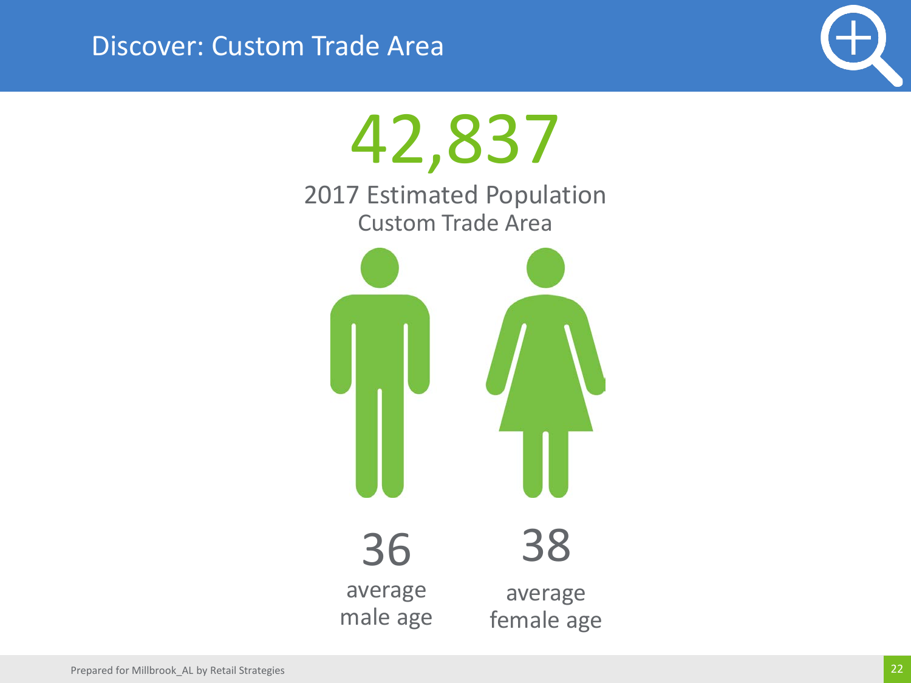

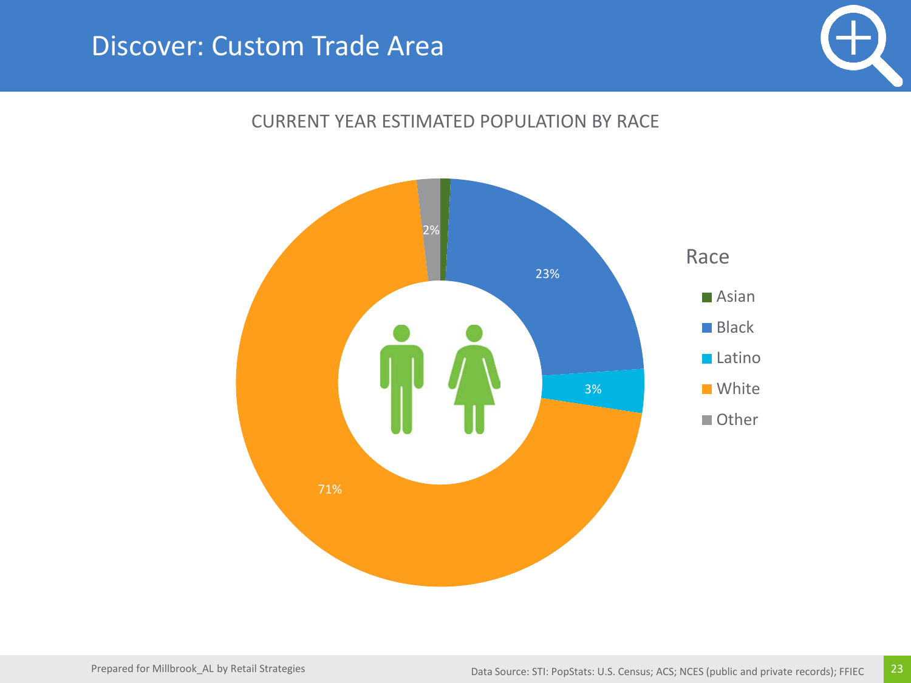

#### CURRENT YEAR ESTIMATED POPULATION BY RACE

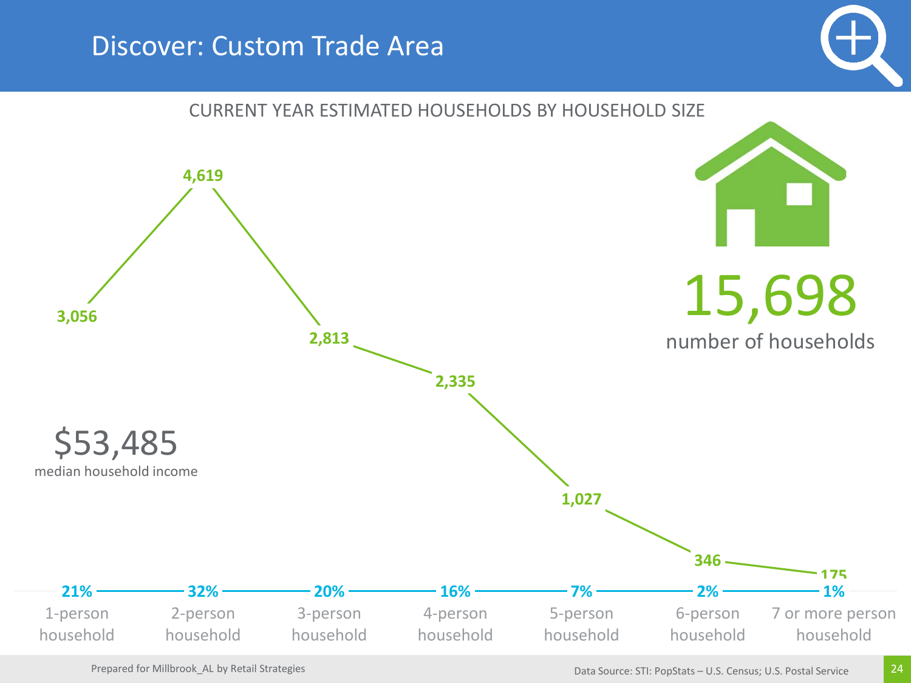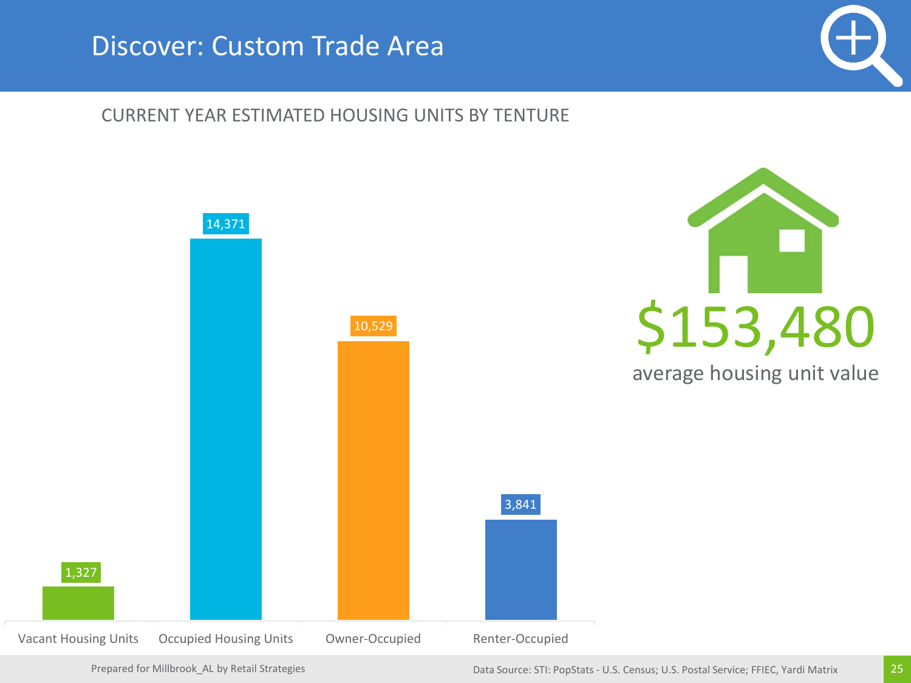#### CURRENT YEAR ESTIMATED HOUSING UNITS BY TENTURE



Prepared for Millbrook\_AL by Retail Strategies

Data Source: STI: PopStats - U.S. Census; U.S. Postal Service; FFIEC, Yardi Matrix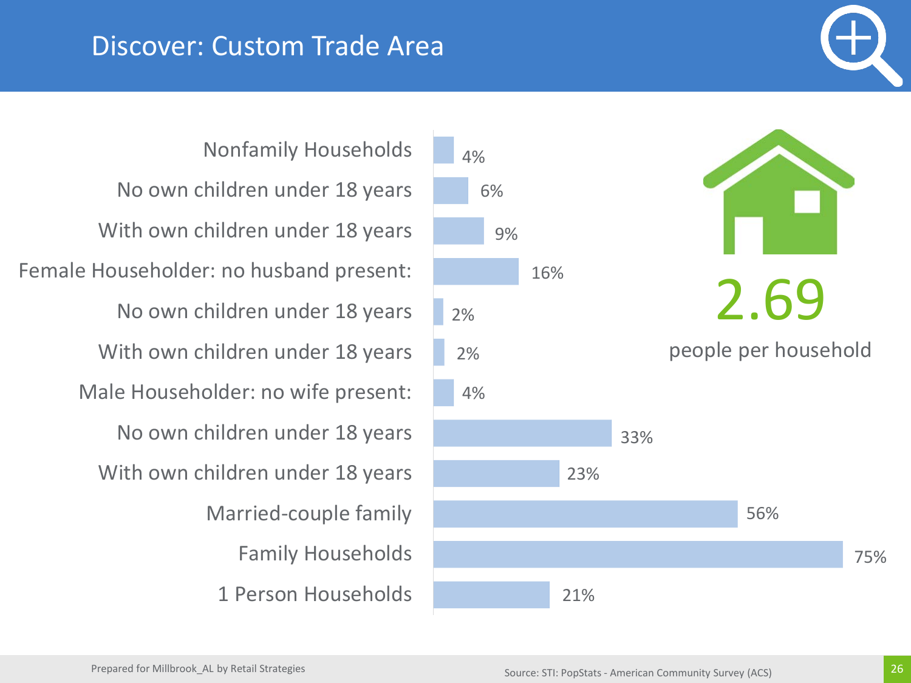1 Person Households Family Households Married-couple family With own children under 18 years No own children under 18 years Male Householder: no wife present: With own children under 18 years No own children under 18 years Female Householder: no husband present: With own children under 18 years No own children under 18 years Nonfamily Households

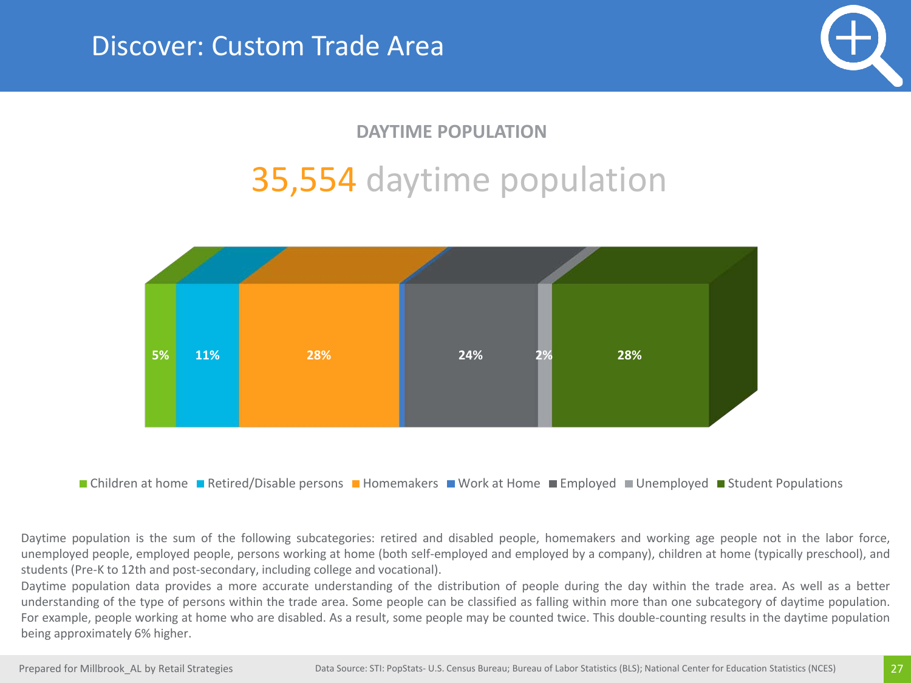

#### **DAYTIME POPULATION**

# 35,554 daytime population



■ Children at home ■ Retired/Disable persons ■ Homemakers ■ Work at Home ■ Employed ■ Unemployed ■ Student Populations

Daytime population is the sum of the following subcategories: retired and disabled people, homemakers and working age people not in the labor force, unemployed people, employed people, persons working at home (both self-employed and employed by a company), children at home (typically preschool), and students (Pre-K to 12th and post-secondary, including college and vocational).

Daytime population data provides a more accurate understanding of the distribution of people during the day within the trade area. As well as a better understanding of the type of persons within the trade area. Some people can be classified as falling within more than one subcategory of daytime population. For example, people working at home who are disabled. As a result, some people may be counted twice. This double-counting results in the daytime population being approximately 6% higher.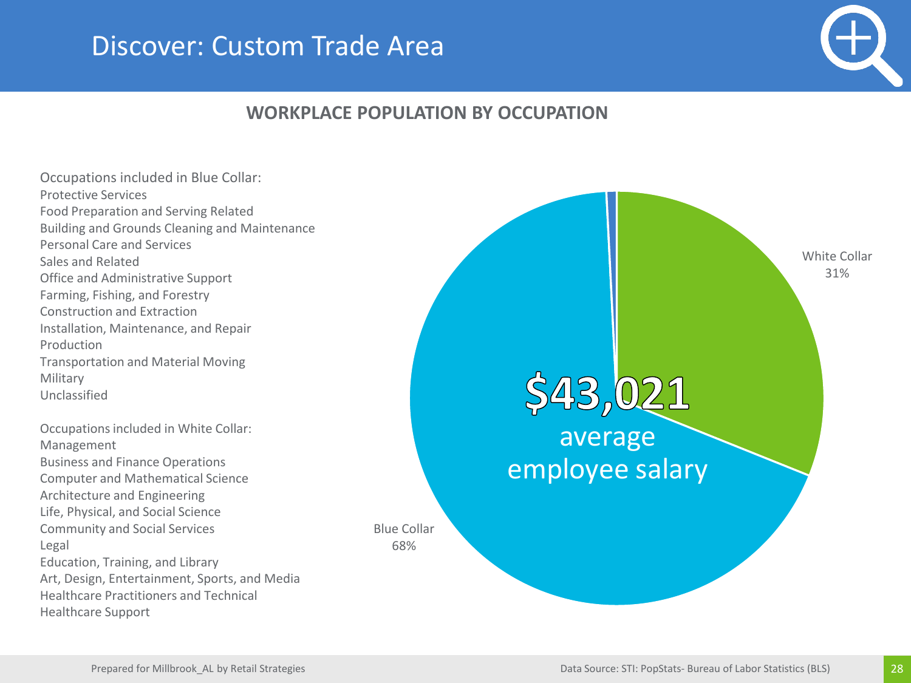

#### **WORKPLACE POPULATION BY OCCUPATION**

Occupations included in Blue Collar: Protective Services Food Preparation and Serving Related Building and Grounds Cleaning and Maintenance Personal Care and Services Sales and Related Office and Administrative Support Farming, Fishing, and Forestry Construction and Extraction Installation, Maintenance, and Repair Production Transportation and Material Moving Military Unclassified

Occupations included in White Collar: Management Business and Finance Operations Computer and Mathematical Science Architecture and Engineering Life, Physical, and Social Science Community and Social Services Legal Education, Training, and Library Art, Design, Entertainment, Sports, and Media Healthcare Practitioners and Technical Healthcare Support

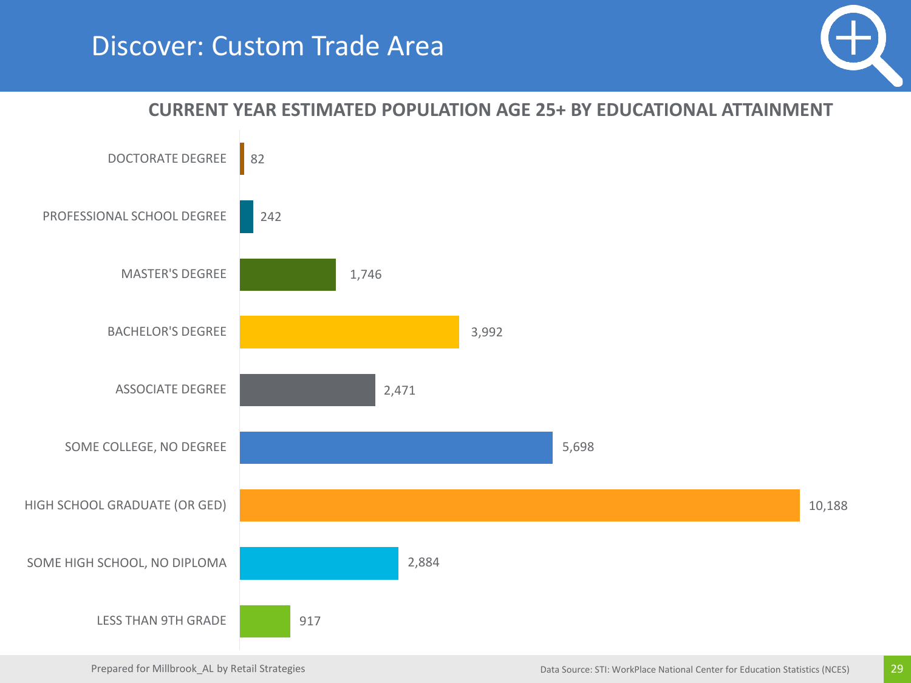

29